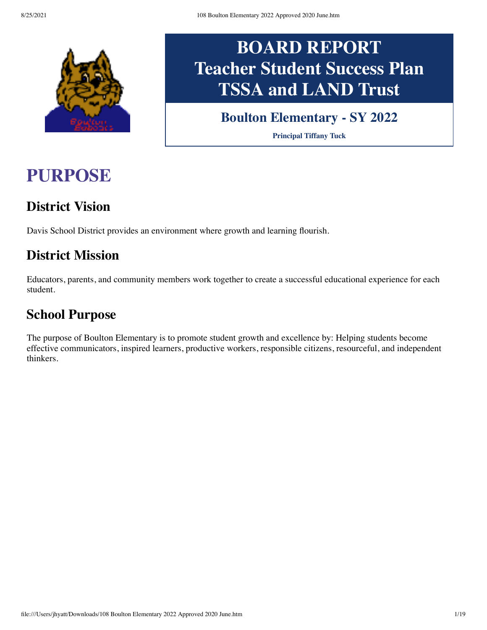

# **BOARD REPORT Teacher Student Success Plan TSSA and LAND Trust**

### **Boulton Elementary - SY 2022**

**Principal Tiffany Tuck**

## **PURPOSE**

### **District Vision**

Davis School District provides an environment where growth and learning flourish.

### **District Mission**

Educators, parents, and community members work together to create a successful educational experience for each student.

#### **School Purpose**

The purpose of Boulton Elementary is to promote student growth and excellence by: Helping students become effective communicators, inspired learners, productive workers, responsible citizens, resourceful, and independent thinkers.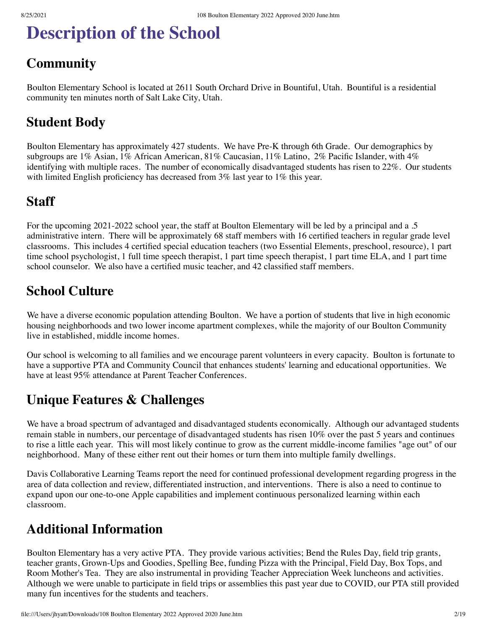## **Description of the School**

### **Community**

Boulton Elementary School is located at 2611 South Orchard Drive in Bountiful, Utah. Bountiful is a residential community ten minutes north of Salt Lake City, Utah.

### **Student Body**

Boulton Elementary has approximately 427 students. We have Pre-K through 6th Grade. Our demographics by subgroups are 1% Asian, 1% African American, 81% Caucasian, 11% Latino, 2% Pacific Islander, with 4% identifying with multiple races. The number of economically disadvantaged students has risen to 22%. Our students with limited English proficiency has decreased from  $3\%$  last year to  $1\%$  this year.

#### **Staff**

For the upcoming 2021-2022 school year, the staff at Boulton Elementary will be led by a principal and a .5 administrative intern. There will be approximately 68 staff members with 16 certified teachers in regular grade level classrooms. This includes 4 certified special education teachers (two Essential Elements, preschool, resource), 1 part time school psychologist, 1 full time speech therapist, 1 part time speech therapist, 1 part time ELA, and 1 part time school counselor. We also have a certified music teacher, and 42 classified staff members.

#### **School Culture**

We have a diverse economic population attending Boulton. We have a portion of students that live in high economic housing neighborhoods and two lower income apartment complexes, while the majority of our Boulton Community live in established, middle income homes.

Our school is welcoming to all families and we encourage parent volunteers in every capacity. Boulton is fortunate to have a supportive PTA and Community Council that enhances students' learning and educational opportunities. We have at least 95% attendance at Parent Teacher Conferences.

#### **Unique Features & Challenges**

We have a broad spectrum of advantaged and disadvantaged students economically. Although our advantaged students remain stable in numbers, our percentage of disadvantaged students has risen 10% over the past 5 years and continues to rise a little each year. This will most likely continue to grow as the current middle-income families "age out" of our neighborhood. Many of these either rent out their homes or turn them into multiple family dwellings.

Davis Collaborative Learning Teams report the need for continued professional development regarding progress in the area of data collection and review, differentiated instruction, and interventions. There is also a need to continue to expand upon our one-to-one Apple capabilities and implement continuous personalized learning within each classroom.

### **Additional Information**

Boulton Elementary has a very active PTA. They provide various activities; Bend the Rules Day, field trip grants, teacher grants, Grown-Ups and Goodies, Spelling Bee, funding Pizza with the Principal, Field Day, Box Tops, and Room Mother's Tea. They are also instrumental in providing Teacher Appreciation Week luncheons and activities. Although we were unable to participate in field trips or assemblies this past year due to COVID, our PTA still provided many fun incentives for the students and teachers.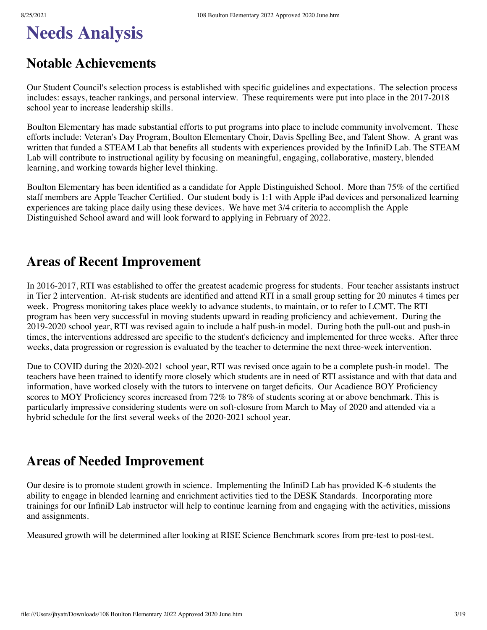## **Needs Analysis**

### **Notable Achievements**

Our Student Council's selection process is established with specific guidelines and expectations. The selection process includes: essays, teacher rankings, and personal interview. These requirements were put into place in the 2017-2018 school year to increase leadership skills.

Boulton Elementary has made substantial efforts to put programs into place to include community involvement. These efforts include: Veteran's Day Program, Boulton Elementary Choir, Davis Spelling Bee, and Talent Show. A grant was written that funded a STEAM Lab that benefits all students with experiences provided by the InfiniD Lab. The STEAM Lab will contribute to instructional agility by focusing on meaningful, engaging, collaborative, mastery, blended learning, and working towards higher level thinking.

Boulton Elementary has been identified as a candidate for Apple Distinguished School. More than 75% of the certified staff members are Apple Teacher Certified. Our student body is 1:1 with Apple iPad devices and personalized learning experiences are taking place daily using these devices. We have met 3/4 criteria to accomplish the Apple Distinguished School award and will look forward to applying in February of 2022.

#### **Areas of Recent Improvement**

In 2016-2017, RTI was established to offer the greatest academic progress for students. Four teacher assistants instruct in Tier 2 intervention. At-risk students are identified and attend RTI in a small group setting for 20 minutes 4 times per week. Progress monitoring takes place weekly to advance students, to maintain, or to refer to LCMT. The RTI program has been very successful in moving students upward in reading proficiency and achievement. During the 2019-2020 school year, RTI was revised again to include a half push-in model. During both the pull-out and push-in times, the interventions addressed are specific to the student's deficiency and implemented for three weeks. After three weeks, data progression or regression is evaluated by the teacher to determine the next three-week intervention.

Due to COVID during the 2020-2021 school year, RTI was revised once again to be a complete push-in model. The teachers have been trained to identify more closely which students are in need of RTI assistance and with that data and information, have worked closely with the tutors to intervene on target deficits. Our Acadience BOY Proficiency scores to MOY Proficiency scores increased from 72% to 78% of students scoring at or above benchmark. This is particularly impressive considering students were on soft-closure from March to May of 2020 and attended via a hybrid schedule for the first several weeks of the 2020-2021 school year.

#### **Areas of Needed Improvement**

Our desire is to promote student growth in science. Implementing the InfiniD Lab has provided K-6 students the ability to engage in blended learning and enrichment activities tied to the DESK Standards. Incorporating more trainings for our InfiniD Lab instructor will help to continue learning from and engaging with the activities, missions and assignments.

Measured growth will be determined after looking at RISE Science Benchmark scores from pre-test to post-test.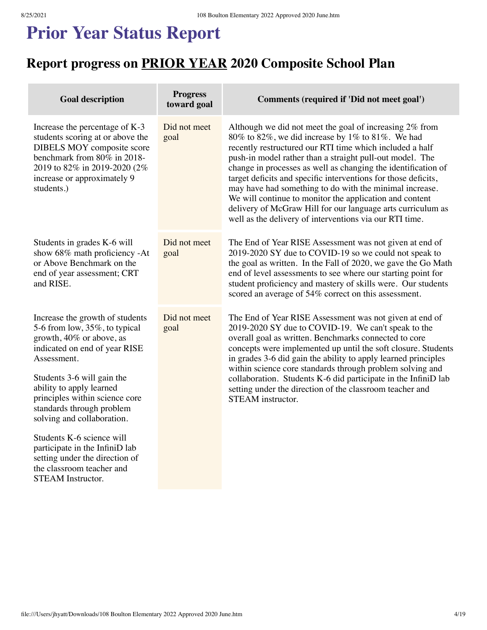### **Prior Year Status Report**

### **Report progress on PRIOR YEAR 2020 Composite School Plan**

| goal                 | Although we did not meet the goal of increasing 2% from<br>$80\%$ to $82\%$ , we did increase by 1% to $81\%$ . We had<br>recently restructured our RTI time which included a half<br>push-in model rather than a straight pull-out model. The<br>change in processes as well as changing the identification of<br>target deficits and specific interventions for those deficits,<br>may have had something to do with the minimal increase.<br>We will continue to monitor the application and content<br>delivery of McGraw Hill for our language arts curriculum as<br>well as the delivery of interventions via our RTI time. |
|----------------------|-----------------------------------------------------------------------------------------------------------------------------------------------------------------------------------------------------------------------------------------------------------------------------------------------------------------------------------------------------------------------------------------------------------------------------------------------------------------------------------------------------------------------------------------------------------------------------------------------------------------------------------|
| Did not meet<br>goal | The End of Year RISE Assessment was not given at end of<br>2019-2020 SY due to COVID-19 so we could not speak to<br>the goal as written. In the Fall of 2020, we gave the Go Math<br>end of level assessments to see where our starting point for<br>student proficiency and mastery of skills were. Our students<br>scored an average of 54% correct on this assessment.                                                                                                                                                                                                                                                         |
| Did not meet<br>goal | The End of Year RISE Assessment was not given at end of<br>2019-2020 SY due to COVID-19. We can't speak to the<br>overall goal as written. Benchmarks connected to core<br>concepts were implemented up until the soft closure. Students<br>in grades 3-6 did gain the ability to apply learned principles<br>within science core standards through problem solving and<br>collaboration. Students K-6 did participate in the InfiniD lab<br>setting under the direction of the classroom teacher and<br>STEAM instructor.                                                                                                        |
|                      | Did not meet                                                                                                                                                                                                                                                                                                                                                                                                                                                                                                                                                                                                                      |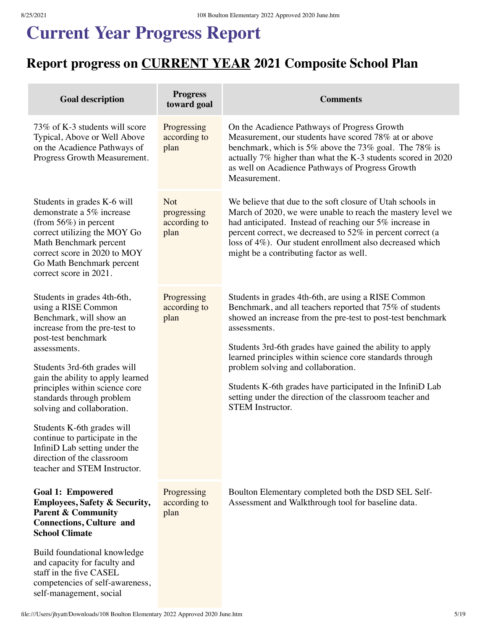# **Current Year Progress Report**

### **Report progress on CURRENT YEAR 2021 Composite School Plan**

| <b>Goal description</b>                                                                                                                                                                                                                                                                                                                                                                                                                                                                | <b>Progress</b><br>toward goal                    | <b>Comments</b>                                                                                                                                                                                                                                                                                                                                                                                                                                                                                                    |
|----------------------------------------------------------------------------------------------------------------------------------------------------------------------------------------------------------------------------------------------------------------------------------------------------------------------------------------------------------------------------------------------------------------------------------------------------------------------------------------|---------------------------------------------------|--------------------------------------------------------------------------------------------------------------------------------------------------------------------------------------------------------------------------------------------------------------------------------------------------------------------------------------------------------------------------------------------------------------------------------------------------------------------------------------------------------------------|
| 73% of K-3 students will score<br>Typical, Above or Well Above<br>on the Acadience Pathways of<br>Progress Growth Measurement.                                                                                                                                                                                                                                                                                                                                                         | Progressing<br>according to<br>plan               | On the Acadience Pathways of Progress Growth<br>Measurement, our students have scored 78% at or above<br>benchmark, which is 5% above the 73% goal. The 78% is<br>actually 7% higher than what the K-3 students scored in 2020<br>as well on Acadience Pathways of Progress Growth<br>Measurement.                                                                                                                                                                                                                 |
| Students in grades K-6 will<br>demonstrate a 5% increase<br>(from $56\%)$ in percent<br>correct utilizing the MOY Go<br>Math Benchmark percent<br>correct score in 2020 to MOY<br>Go Math Benchmark percent<br>correct score in 2021.                                                                                                                                                                                                                                                  | <b>Not</b><br>progressing<br>according to<br>plan | We believe that due to the soft closure of Utah schools in<br>March of 2020, we were unable to reach the mastery level we<br>had anticipated. Instead of reaching our 5% increase in<br>percent correct, we decreased to 52% in percent correct (a<br>loss of 4%). Our student enrollment also decreased which<br>might be a contributing factor as well.                                                                                                                                                          |
| Students in grades 4th-6th,<br>using a RISE Common<br>Benchmark, will show an<br>increase from the pre-test to<br>post-test benchmark<br>assessments.<br>Students 3rd-6th grades will<br>gain the ability to apply learned<br>principles within science core<br>standards through problem<br>solving and collaboration.<br>Students K-6th grades will<br>continue to participate in the<br>InfiniD Lab setting under the<br>direction of the classroom<br>teacher and STEM Instructor. | Progressing<br>according to<br>plan               | Students in grades 4th-6th, are using a RISE Common<br>Benchmark, and all teachers reported that 75% of students<br>showed an increase from the pre-test to post-test benchmark<br>assessments.<br>Students 3rd-6th grades have gained the ability to apply<br>learned principles within science core standards through<br>problem solving and collaboration.<br>Students K-6th grades have participated in the InfiniD Lab<br>setting under the direction of the classroom teacher and<br><b>STEM</b> Instructor. |
| <b>Goal 1: Empowered</b><br><b>Employees, Safety &amp; Security,</b><br><b>Parent &amp; Community</b><br><b>Connections, Culture and</b><br><b>School Climate</b><br>Build foundational knowledge<br>and capacity for faculty and<br>staff in the five CASEL<br>competencies of self-awareness,<br>self-management, social                                                                                                                                                             | Progressing<br>according to<br>plan               | Boulton Elementary completed both the DSD SEL Self-<br>Assessment and Walkthrough tool for baseline data.                                                                                                                                                                                                                                                                                                                                                                                                          |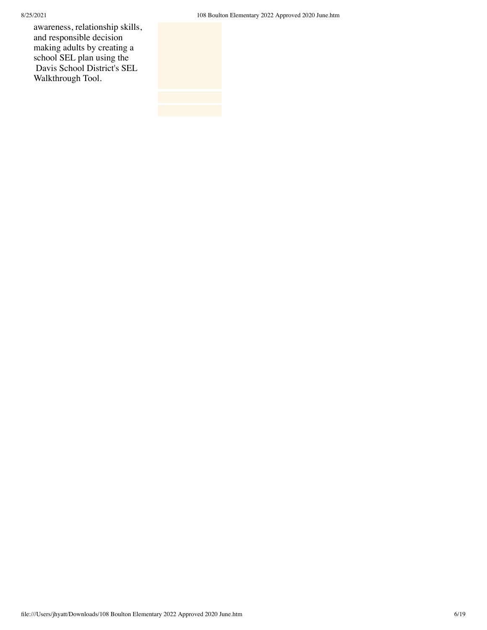8/25/2021 108 Boulton Elementary 2022 Approved 2020 June.htm

awareness, relationship skills, and responsible decision making adults by creating a school SEL plan using the Davis School District's SEL Walkthrough Tool.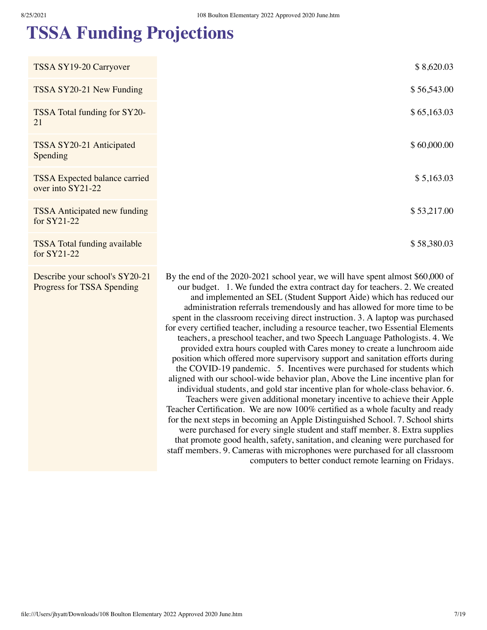for SY21-22

Describe your school's SY20-21 Progress for TSSA Spending

### **TSSA Funding Projections**

| TSSA SY19-20 Carryover                                    | \$8,620.03  |
|-----------------------------------------------------------|-------------|
| TSSA SY20-21 New Funding                                  | \$56,543.00 |
| TSSA Total funding for SY20-<br>21                        | \$65,163.03 |
| TSSA SY20-21 Anticipated<br>Spending                      | \$60,000.00 |
| <b>TSSA</b> Expected balance carried<br>over into SY21-22 | \$5,163.03  |
| <b>TSSA</b> Anticipated new funding<br>for SY21-22        | \$53,217.00 |
| <b>TSSA</b> Total funding available                       | \$58,380.03 |

By the end of the 2020-2021 school year, we will have spent almost \$60,000 of our budget. 1. We funded the extra contract day for teachers. 2. We created and implemented an SEL (Student Support Aide) which has reduced our administration referrals tremendously and has allowed for more time to be spent in the classroom receiving direct instruction. 3. A laptop was purchased for every certified teacher, including a resource teacher, two Essential Elements teachers, a preschool teacher, and two Speech Language Pathologists. 4. We provided extra hours coupled with Cares money to create a lunchroom aide position which offered more supervisory support and sanitation efforts during the COVID-19 pandemic. 5. Incentives were purchased for students which aligned with our school-wide behavior plan, Above the Line incentive plan for individual students, and gold star incentive plan for whole-class behavior. 6. Teachers were given additional monetary incentive to achieve their Apple Teacher Certification. We are now 100% certified as a whole faculty and ready for the next steps in becoming an Apple Distinguished School. 7. School shirts were purchased for every single student and staff member. 8. Extra supplies that promote good health, safety, sanitation, and cleaning were purchased for staff members. 9. Cameras with microphones were purchased for all classroom computers to better conduct remote learning on Fridays.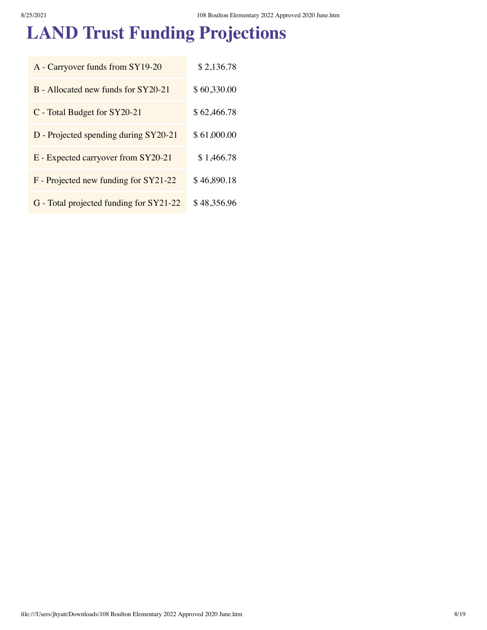# **LAND Trust Funding Projections**

| A - Carryover funds from SY19-20        | \$2,136.78  |
|-----------------------------------------|-------------|
| B - Allocated new funds for SY20-21     | \$60,330.00 |
| C - Total Budget for SY20-21            | \$62,466.78 |
| D - Projected spending during SY20-21   | \$61,000.00 |
| E - Expected carryover from SY20-21     | \$1,466.78  |
| F - Projected new funding for SY21-22   | \$46,890.18 |
| G - Total projected funding for SY21-22 | \$48,356.96 |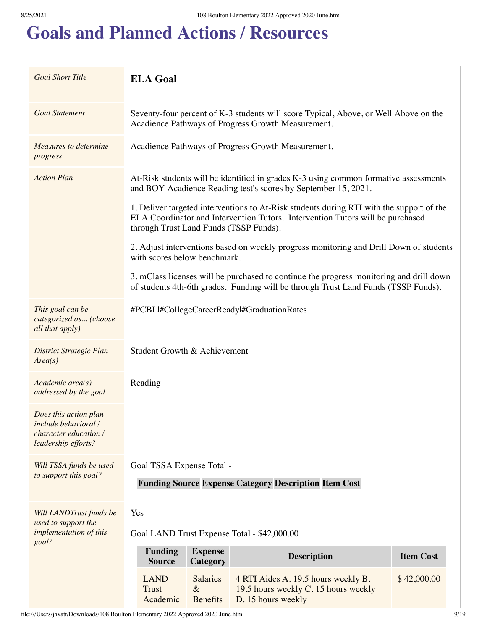## **Goals and Planned Actions / Resources**

| <b>Goal Short Title</b>                                                                       | <b>ELA Goal</b>                                                                                                                                                                                                      |  |  |  |
|-----------------------------------------------------------------------------------------------|----------------------------------------------------------------------------------------------------------------------------------------------------------------------------------------------------------------------|--|--|--|
| <b>Goal Statement</b>                                                                         | Seventy-four percent of K-3 students will score Typical, Above, or Well Above on the<br>Acadience Pathways of Progress Growth Measurement.                                                                           |  |  |  |
| <b>Measures to determine</b><br>progress                                                      | Acadience Pathways of Progress Growth Measurement.                                                                                                                                                                   |  |  |  |
| <b>Action Plan</b>                                                                            | At-Risk students will be identified in grades K-3 using common formative assessments<br>and BOY Acadience Reading test's scores by September 15, 2021.                                                               |  |  |  |
|                                                                                               | 1. Deliver targeted interventions to At-Risk students during RTI with the support of the<br>ELA Coordinator and Intervention Tutors. Intervention Tutors will be purchased<br>through Trust Land Funds (TSSP Funds). |  |  |  |
|                                                                                               | 2. Adjust interventions based on weekly progress monitoring and Drill Down of students<br>with scores below benchmark.                                                                                               |  |  |  |
|                                                                                               | 3. mClass licenses will be purchased to continue the progress monitoring and drill down<br>of students 4th-6th grades. Funding will be through Trust Land Funds (TSSP Funds).                                        |  |  |  |
| This goal can be<br>categorized as (choose<br>all that apply)                                 | #PCBLI#CollegeCareerReadyl#GraduationRates                                                                                                                                                                           |  |  |  |
| <b>District Strategic Plan</b><br>Area(s)                                                     | Student Growth & Achievement                                                                                                                                                                                         |  |  |  |
| Academic area(s)<br>addressed by the goal                                                     | Reading                                                                                                                                                                                                              |  |  |  |
| Does this action plan<br>include behavioral /<br>character education /<br>leadership efforts? |                                                                                                                                                                                                                      |  |  |  |
| Will TSSA funds be used<br>to support this goal?                                              | Goal TSSA Expense Total -                                                                                                                                                                                            |  |  |  |
|                                                                                               | <b>Funding Source Expense Category Description Item Cost</b>                                                                                                                                                         |  |  |  |
| Will LANDTrust funds be<br>used to support the                                                | Yes                                                                                                                                                                                                                  |  |  |  |
| implementation of this<br>goal?                                                               | Goal LAND Trust Expense Total - \$42,000.00                                                                                                                                                                          |  |  |  |
|                                                                                               | <b>Funding</b><br><b>Expense</b><br><b>Description</b><br><b>Item Cost</b><br><b>Source</b><br><b>Category</b>                                                                                                       |  |  |  |
|                                                                                               | <b>LAND</b><br>\$42,000.00<br><b>Salaries</b><br>4 RTI Aides A. 19.5 hours weekly B.<br><b>Trust</b><br>$\&$<br>19.5 hours weekly C. 15 hours weekly<br>Academic<br><b>Benefits</b><br>D. 15 hours weekly            |  |  |  |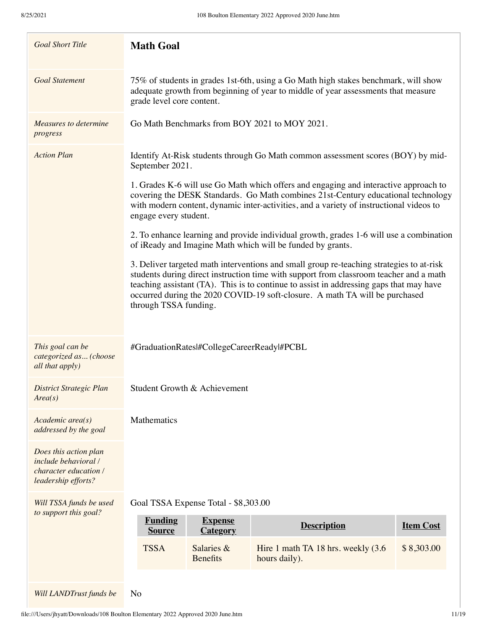| <b>Goal Short Title</b>                                                                       | <b>Math Goal</b>                                                                                                                                                                                                                                                                                                                                                                      |  |  |  |
|-----------------------------------------------------------------------------------------------|---------------------------------------------------------------------------------------------------------------------------------------------------------------------------------------------------------------------------------------------------------------------------------------------------------------------------------------------------------------------------------------|--|--|--|
| <b>Goal Statement</b>                                                                         | 75% of students in grades 1st-6th, using a Go Math high stakes benchmark, will show<br>adequate growth from beginning of year to middle of year assessments that measure<br>grade level core content.                                                                                                                                                                                 |  |  |  |
| Measures to determine<br>progress                                                             | Go Math Benchmarks from BOY 2021 to MOY 2021.                                                                                                                                                                                                                                                                                                                                         |  |  |  |
| <b>Action Plan</b>                                                                            | Identify At-Risk students through Go Math common assessment scores (BOY) by mid-<br>September 2021.                                                                                                                                                                                                                                                                                   |  |  |  |
|                                                                                               | 1. Grades K-6 will use Go Math which offers and engaging and interactive approach to<br>covering the DESK Standards. Go Math combines 21st-Century educational technology<br>with modern content, dynamic inter-activities, and a variety of instructional videos to<br>engage every student.                                                                                         |  |  |  |
|                                                                                               | 2. To enhance learning and provide individual growth, grades 1-6 will use a combination<br>of iReady and Imagine Math which will be funded by grants.                                                                                                                                                                                                                                 |  |  |  |
|                                                                                               | 3. Deliver targeted math interventions and small group re-teaching strategies to at-risk<br>students during direct instruction time with support from classroom teacher and a math<br>teaching assistant (TA). This is to continue to assist in addressing gaps that may have<br>occurred during the 2020 COVID-19 soft-closure. A math TA will be purchased<br>through TSSA funding. |  |  |  |
| This goal can be<br>categorized as (choose<br>all that apply)                                 | #GraduationRatesl#CollegeCareerReadyl#PCBL                                                                                                                                                                                                                                                                                                                                            |  |  |  |
| District Strategic Plan<br>Area(s)                                                            | Student Growth & Achievement                                                                                                                                                                                                                                                                                                                                                          |  |  |  |
| Academic area(s)<br>addressed by the goal                                                     | Mathematics                                                                                                                                                                                                                                                                                                                                                                           |  |  |  |
| Does this action plan<br>include behavioral /<br>character education /<br>leadership efforts? |                                                                                                                                                                                                                                                                                                                                                                                       |  |  |  |
| Will TSSA funds be used<br>to support this goal?                                              | Goal TSSA Expense Total - \$8,303.00                                                                                                                                                                                                                                                                                                                                                  |  |  |  |
|                                                                                               | <b>Funding</b><br><b>Expense</b><br><b>Description</b><br><b>Item Cost</b><br><b>Category</b><br><b>Source</b>                                                                                                                                                                                                                                                                        |  |  |  |
|                                                                                               | <b>TSSA</b><br>Salaries &<br>\$8,303.00<br>Hire 1 math TA 18 hrs. weekly (3.6)<br><b>Benefits</b><br>hours daily).                                                                                                                                                                                                                                                                    |  |  |  |
| Will LANDTrust funds be                                                                       | N <sub>o</sub>                                                                                                                                                                                                                                                                                                                                                                        |  |  |  |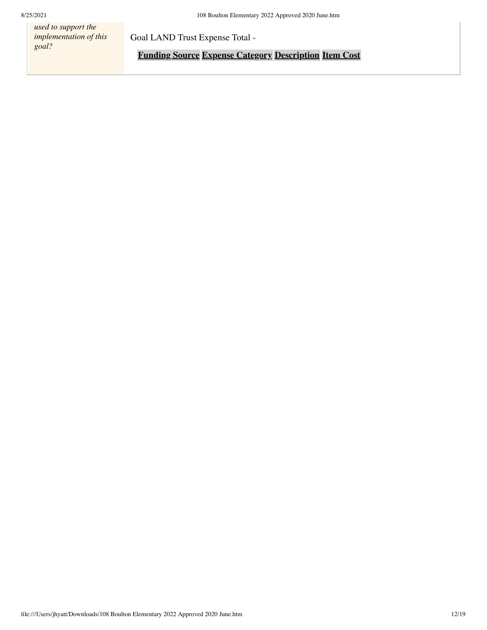*used to support the implementation of this goal?*

Goal LAND Trust Expense Total -

**Funding Source Expense Category Description Item Cost**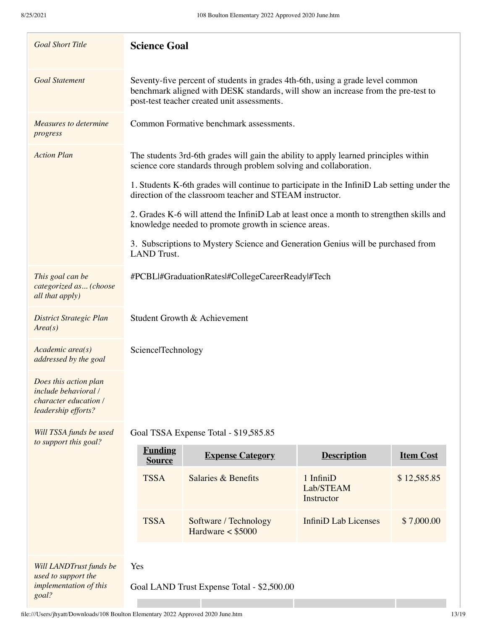| <b>Goal Short Title</b>                                                                                     | <b>Science Goal</b>                                                                                                                                                                                                |                                                                                                                                                        |                                      |                  |  |
|-------------------------------------------------------------------------------------------------------------|--------------------------------------------------------------------------------------------------------------------------------------------------------------------------------------------------------------------|--------------------------------------------------------------------------------------------------------------------------------------------------------|--------------------------------------|------------------|--|
| <b>Goal Statement</b>                                                                                       | Seventy-five percent of students in grades 4th-6th, using a grade level common<br>benchmark aligned with DESK standards, will show an increase from the pre-test to<br>post-test teacher created unit assessments. |                                                                                                                                                        |                                      |                  |  |
| <b>Measures to determine</b><br>progress                                                                    | Common Formative benchmark assessments.                                                                                                                                                                            |                                                                                                                                                        |                                      |                  |  |
| <b>Action Plan</b>                                                                                          | The students 3rd-6th grades will gain the ability to apply learned principles within<br>science core standards through problem solving and collaboration.                                                          |                                                                                                                                                        |                                      |                  |  |
|                                                                                                             |                                                                                                                                                                                                                    | 1. Students K-6th grades will continue to participate in the InfiniD Lab setting under the<br>direction of the classroom teacher and STEAM instructor. |                                      |                  |  |
|                                                                                                             |                                                                                                                                                                                                                    | 2. Grades K-6 will attend the InfiniD Lab at least once a month to strengthen skills and<br>knowledge needed to promote growth in science areas.       |                                      |                  |  |
|                                                                                                             | <b>LAND</b> Trust.                                                                                                                                                                                                 | 3. Subscriptions to Mystery Science and Generation Genius will be purchased from                                                                       |                                      |                  |  |
| This goal can be<br>categorized as (choose<br>all that apply)                                               | #PCBLI#GraduationRatesl#CollegeCareerReadyl#Tech                                                                                                                                                                   |                                                                                                                                                        |                                      |                  |  |
| <b>District Strategic Plan</b><br>Area(s)                                                                   | Student Growth & Achievement                                                                                                                                                                                       |                                                                                                                                                        |                                      |                  |  |
| Academic area(s)<br>addressed by the goal                                                                   | SciencelTechnology                                                                                                                                                                                                 |                                                                                                                                                        |                                      |                  |  |
| Does this action plan<br><i>include behavioral</i> /<br><i>character education</i> /<br>leadership efforts? |                                                                                                                                                                                                                    |                                                                                                                                                        |                                      |                  |  |
| Will TSSA funds be used<br>to support this goal?                                                            |                                                                                                                                                                                                                    | Goal TSSA Expense Total - \$19,585.85                                                                                                                  |                                      |                  |  |
|                                                                                                             | <b>Funding</b><br><b>Source</b>                                                                                                                                                                                    | <b>Expense Category</b>                                                                                                                                | <b>Description</b>                   | <b>Item Cost</b> |  |
|                                                                                                             | <b>TSSA</b>                                                                                                                                                                                                        | Salaries & Benefits                                                                                                                                    | 1 InfiniD<br>Lab/STEAM<br>Instructor | \$12,585.85      |  |
|                                                                                                             | <b>TSSA</b>                                                                                                                                                                                                        | Software / Technology<br>Hardware $<$ \$5000                                                                                                           | InfiniD Lab Licenses                 | \$7,000.00       |  |
| Will LANDTrust funds be                                                                                     | Yes                                                                                                                                                                                                                |                                                                                                                                                        |                                      |                  |  |
| used to support the<br>implementation of this<br>Goal LAND Trust Expense Total - \$2,500.00<br>goal?        |                                                                                                                                                                                                                    |                                                                                                                                                        |                                      |                  |  |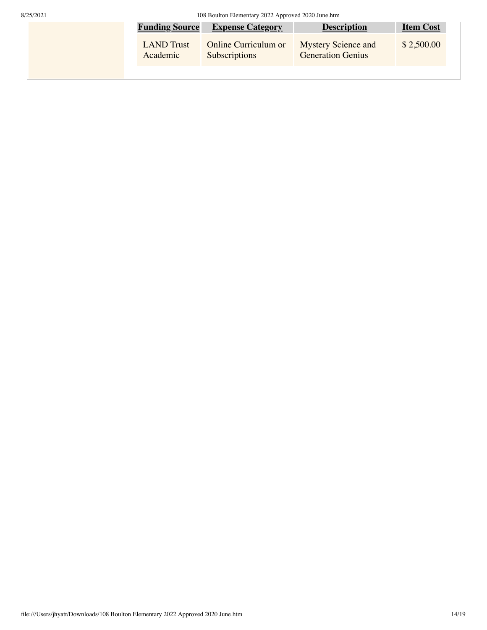8/25/2021 108 Boulton Elementary 2022 Approved 2020 June.htm

| <b>Funding Source</b> | <b>Expense Category</b> | <b>Description</b>         | <b>Item Cost</b> |
|-----------------------|-------------------------|----------------------------|------------------|
| <b>LAND</b> Trust     | Online Curriculum or    | <b>Mystery Science and</b> | \$2,500.00       |
| Academic              | <b>Subscriptions</b>    | <b>Generation Genius</b>   |                  |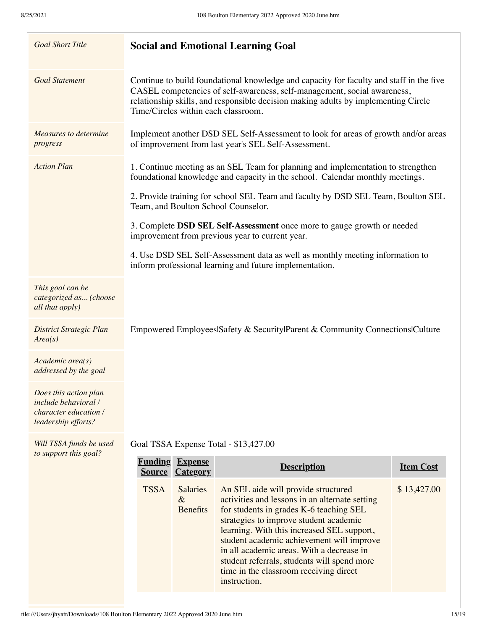| <b>Goal Short Title</b>                                                                       |                                                                                                                                                                   | <b>Social and Emotional Learning Goal</b>                                                                                                                                                                                                                                                                                                                                                                                   |                  |  |
|-----------------------------------------------------------------------------------------------|-------------------------------------------------------------------------------------------------------------------------------------------------------------------|-----------------------------------------------------------------------------------------------------------------------------------------------------------------------------------------------------------------------------------------------------------------------------------------------------------------------------------------------------------------------------------------------------------------------------|------------------|--|
| <b>Goal Statement</b>                                                                         | Time/Circles within each classroom.                                                                                                                               | Continue to build foundational knowledge and capacity for faculty and staff in the five<br>CASEL competencies of self-awareness, self-management, social awareness,<br>relationship skills, and responsible decision making adults by implementing Circle                                                                                                                                                                   |                  |  |
| Measures to determine<br>progress                                                             | Implement another DSD SEL Self-Assessment to look for areas of growth and/or areas<br>of improvement from last year's SEL Self-Assessment.                        |                                                                                                                                                                                                                                                                                                                                                                                                                             |                  |  |
| <b>Action Plan</b>                                                                            | 1. Continue meeting as an SEL Team for planning and implementation to strengthen<br>foundational knowledge and capacity in the school. Calendar monthly meetings. |                                                                                                                                                                                                                                                                                                                                                                                                                             |                  |  |
|                                                                                               | Team, and Boulton School Counselor.                                                                                                                               | 2. Provide training for school SEL Team and faculty by DSD SEL Team, Boulton SEL                                                                                                                                                                                                                                                                                                                                            |                  |  |
|                                                                                               |                                                                                                                                                                   | 3. Complete DSD SEL Self-Assessment once more to gauge growth or needed<br>improvement from previous year to current year.                                                                                                                                                                                                                                                                                                  |                  |  |
|                                                                                               | 4. Use DSD SEL Self-Assessment data as well as monthly meeting information to<br>inform professional learning and future implementation.                          |                                                                                                                                                                                                                                                                                                                                                                                                                             |                  |  |
| This goal can be<br>categorized as (choose<br>all that apply)                                 |                                                                                                                                                                   |                                                                                                                                                                                                                                                                                                                                                                                                                             |                  |  |
| <b>District Strategic Plan</b><br>Area(s)                                                     |                                                                                                                                                                   | Empowered Employees Safety & Security Parent & Community Connections Culture                                                                                                                                                                                                                                                                                                                                                |                  |  |
| Academic area(s)<br>addressed by the goal                                                     |                                                                                                                                                                   |                                                                                                                                                                                                                                                                                                                                                                                                                             |                  |  |
| Does this action plan<br>include behavioral /<br>character education /<br>leadership efforts? |                                                                                                                                                                   |                                                                                                                                                                                                                                                                                                                                                                                                                             |                  |  |
| Will TSSA funds be used<br>to support this goal?                                              | Goal TSSA Expense Total - \$13,427.00                                                                                                                             |                                                                                                                                                                                                                                                                                                                                                                                                                             |                  |  |
|                                                                                               | <b>Funding</b><br><b>Expense</b><br><b>Category</b><br><b>Source</b>                                                                                              | <b>Description</b>                                                                                                                                                                                                                                                                                                                                                                                                          | <b>Item Cost</b> |  |
|                                                                                               | <b>TSSA</b><br><b>Salaries</b><br>$\&$<br><b>Benefits</b>                                                                                                         | An SEL aide will provide structured<br>activities and lessons in an alternate setting<br>for students in grades K-6 teaching SEL<br>strategies to improve student academic<br>learning. With this increased SEL support,<br>student academic achievement will improve<br>in all academic areas. With a decrease in<br>student referrals, students will spend more<br>time in the classroom receiving direct<br>instruction. | \$13,427.00      |  |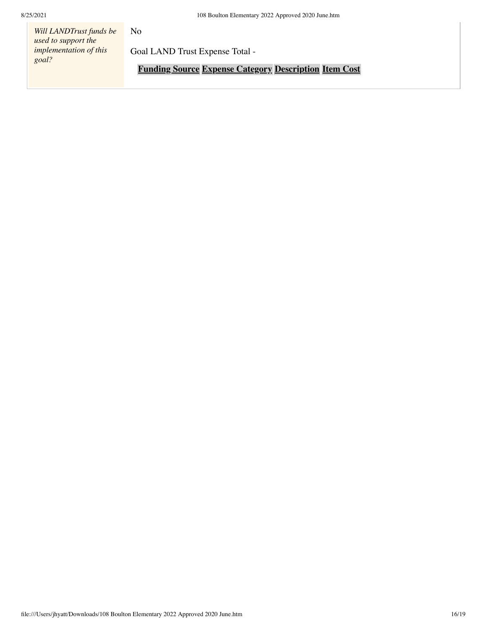*Will LANDTrust funds be used to support the implementation of this goal?*

No

Goal LAND Trust Expense Total -

**Funding Source Expense Category Description Item Cost**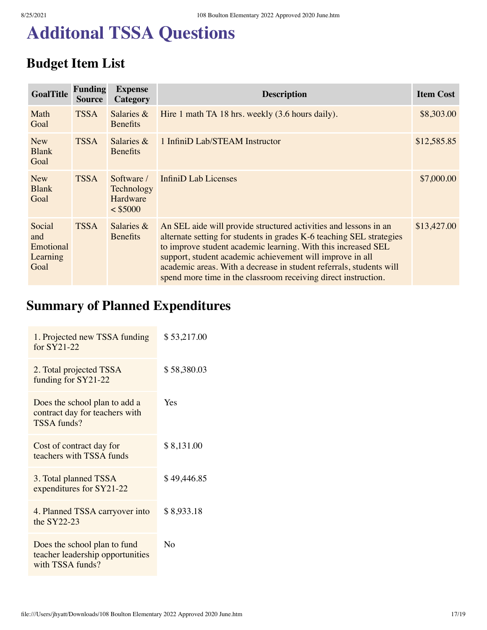## **Additonal TSSA Questions**

### **Budget Item List**

| <b>GoalTitle</b>                               | <b>Funding</b><br><b>Source</b> | <b>Expense</b><br>Category                         | <b>Description</b>                                                                                                                                                                                                                                                                                                                                                                                              | <b>Item Cost</b> |
|------------------------------------------------|---------------------------------|----------------------------------------------------|-----------------------------------------------------------------------------------------------------------------------------------------------------------------------------------------------------------------------------------------------------------------------------------------------------------------------------------------------------------------------------------------------------------------|------------------|
| Math<br>Goal                                   | <b>TSSA</b>                     | Salaries $\&$<br><b>Benefits</b>                   | Hire 1 math TA 18 hrs. weekly (3.6 hours daily).                                                                                                                                                                                                                                                                                                                                                                | \$8,303.00       |
| <b>New</b><br><b>Blank</b><br>Goal             | <b>TSSA</b>                     | Salaries $&$<br><b>Benefits</b>                    | 1 InfiniD Lab/STEAM Instructor                                                                                                                                                                                                                                                                                                                                                                                  | \$12,585.85      |
| <b>New</b><br><b>Blank</b><br>Goal             | <b>TSSA</b>                     | Software /<br>Technology<br>Hardware<br>$<$ \$5000 | InfiniD Lab Licenses                                                                                                                                                                                                                                                                                                                                                                                            | \$7,000.00       |
| Social<br>and<br>Emotional<br>Learning<br>Goal | <b>TSSA</b>                     | Salaries &<br><b>Benefits</b>                      | An SEL aide will provide structured activities and lessons in an<br>alternate setting for students in grades K-6 teaching SEL strategies<br>to improve student academic learning. With this increased SEL<br>support, student academic achievement will improve in all<br>academic areas. With a decrease in student referrals, students will<br>spend more time in the classroom receiving direct instruction. | \$13,427.00      |

### **Summary of Planned Expenditures**

| 1. Projected new TSSA funding<br>for $SY21-22$                                       | \$53,217.00 |
|--------------------------------------------------------------------------------------|-------------|
| 2. Total projected TSSA<br>funding for SY21-22                                       | \$58,380.03 |
| Does the school plan to add a<br>contract day for teachers with<br>TSSA funds?       | Yes         |
| Cost of contract day for<br>teachers with TSSA funds                                 | \$8,131.00  |
| 3. Total planned TSSA<br>expenditures for SY21-22                                    | \$49,446.85 |
| 4. Planned TSSA carryover into<br>the SY22-23                                        | \$8,933.18  |
| Does the school plan to fund<br>teacher leadership opportunities<br>with TSSA funds? | $\rm No$    |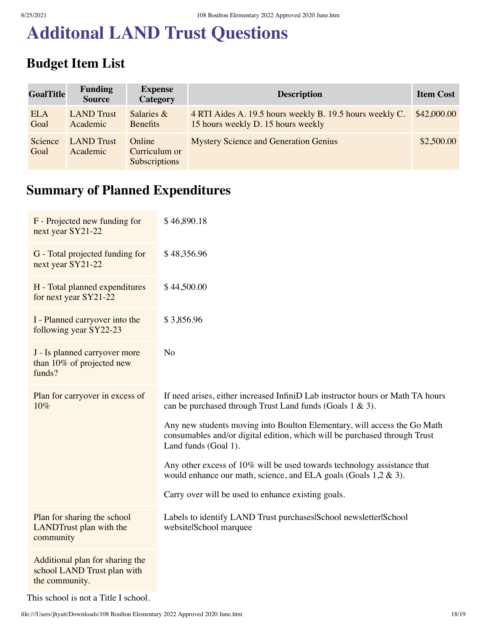# **Additonal LAND Trust Questions**

### **Budget Item List**

| <b>GoalTitle</b>   | <b>Funding</b><br><b>Source</b> | <b>Expense</b><br>Category                      | <b>Description</b>                                                                             | <b>Item Cost</b> |
|--------------------|---------------------------------|-------------------------------------------------|------------------------------------------------------------------------------------------------|------------------|
| <b>ELA</b><br>Goal | <b>LAND</b> Trust<br>Academic   | Salaries $\&$<br><b>Benefits</b>                | 4 RTI Aides A. 19.5 hours weekly B. 19.5 hours weekly C.<br>15 hours weekly D. 15 hours weekly | \$42,000.00      |
| Science<br>Goal    | <b>LAND</b> Trust<br>Academic   | Online<br>Curriculum or<br><b>Subscriptions</b> | <b>Mystery Science and Generation Genius</b>                                                   | \$2,500.00       |

### **Summary of Planned Expenditures**

| F - Projected new funding for<br>next year SY21-22                               | \$46,890.18                                                                                                                                                                   |
|----------------------------------------------------------------------------------|-------------------------------------------------------------------------------------------------------------------------------------------------------------------------------|
| G - Total projected funding for<br>next year SY21-22                             | \$48,356.96                                                                                                                                                                   |
| H - Total planned expenditures<br>for next year SY21-22                          | \$44,500.00                                                                                                                                                                   |
| I - Planned carryover into the<br>following year SY22-23                         | \$3,856.96                                                                                                                                                                    |
| J - Is planned carryover more<br>than 10% of projected new<br>funds?             | N <sub>o</sub>                                                                                                                                                                |
| Plan for carryover in excess of<br>10%                                           | If need arises, either increased InfiniD Lab instructor hours or Math TA hours<br>can be purchased through Trust Land funds (Goals 1 & 3).                                    |
|                                                                                  | Any new students moving into Boulton Elementary, will access the Go Math<br>consumables and/or digital edition, which will be purchased through Trust<br>Land funds (Goal 1). |
|                                                                                  | Any other excess of 10% will be used towards technology assistance that<br>would enhance our math, science, and ELA goals (Goals $1,2 \& 3$ ).                                |
|                                                                                  | Carry over will be used to enhance existing goals.                                                                                                                            |
| Plan for sharing the school<br>LANDTrust plan with the<br>community              | Labels to identify LAND Trust purchases School newsletter School<br>websitelSchool marquee                                                                                    |
| Additional plan for sharing the<br>school LAND Trust plan with<br>the community. |                                                                                                                                                                               |

This school is not a Title I school.